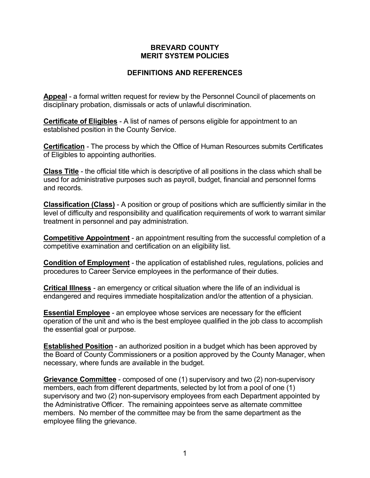## **BREVARD COUNTY MERIT SYSTEM POLICIES**

## **DEFINITIONS AND REFERENCES**

**Appeal** - a formal written request for review by the Personnel Council of placements on disciplinary probation, dismissals or acts of unlawful discrimination.

**Certificate of Eligibles** - A list of names of persons eligible for appointment to an established position in the County Service.

**Certification** - The process by which the Office of Human Resources submits Certificates of Eligibles to appointing authorities.

**Class Title** - the official title which is descriptive of all positions in the class which shall be used for administrative purposes such as payroll, budget, financial and personnel forms and records.

**Classification (Class)** - A position or group of positions which are sufficiently similar in the level of difficulty and responsibility and qualification requirements of work to warrant similar treatment in personnel and pay administration.

**Competitive Appointment** - an appointment resulting from the successful completion of a competitive examination and certification on an eligibility list.

**Condition of Employment** - the application of established rules, regulations, policies and procedures to Career Service employees in the performance of their duties.

**Critical Illness** - an emergency or critical situation where the life of an individual is endangered and requires immediate hospitalization and/or the attention of a physician.

**Essential Employee** - an employee whose services are necessary for the efficient operation of the unit and who is the best employee qualified in the job class to accomplish the essential goal or purpose.

**Established Position** - an authorized position in a budget which has been approved by the Board of County Commissioners or a position approved by the County Manager, when necessary, where funds are available in the budget.

**Grievance Committee** - composed of one (1) supervisory and two (2) non-supervisory members, each from different departments, selected by lot from a pool of one (1) supervisory and two (2) non-supervisory employees from each Department appointed by the Administrative Officer. The remaining appointees serve as alternate committee members. No member of the committee may be from the same department as the employee filing the grievance.